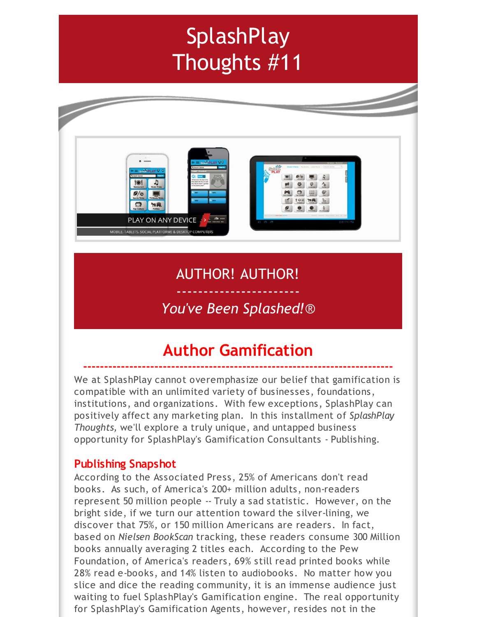# **SplashPlay** Thoughts #11



## AUTHOR! AUTHOR!

### ----------------------- *You've Been Splashed!*®

## **Author Gamification**

**--------------------------------------------------------------------------**

We at SplashPlay cannot overemphasize our belief that gamification is compatible with an unlimited variety of businesses, foundations, institutions, and organizations. With few exceptions, SplashPlay can positively affect any marketing plan. In this installment of *SplashPlay Thoughts,* we'll explore a truly unique, and untapped business opportunity for SplashPlay's Gamification Consultants - Publishing.

#### **Publishing Snapshot**

According to the Associated Press, 25% of Americans don't read books. As such, of America's 200+ million adults, non-readers represent 50 million people -- Truly a sad statistic. However, on the bright side, if we turn our attention toward the silver-lining, we discover that 75%, or 150 million Americans are readers. In fact, based on *Nielsen BookScan* tracking, these readers consume 300 Million books annually averaging 2 titles each. According to the Pew Foundation, of America's readers, 69% still read printed books while 28% read e-books, and 14% listen to audiobooks. No matter how you slice and dice the reading community, it is an immense audience just waiting to fuel SplashPlay's Gamification engine. The real opportunity for SplashPlay's Gamification Agents, however, resides not in the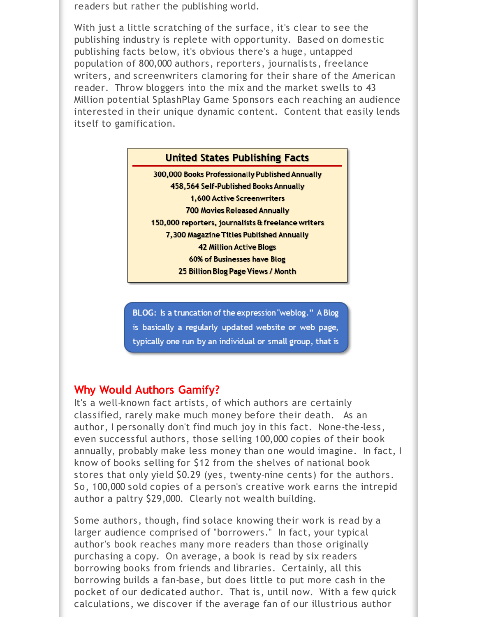readers but rather the publishing world.

With just a little scratching of the surface, it's clear to see the publishing industry is replete with opportunity. Based on domestic publishing facts below, it's obvious there's a huge, untapped population of 800,000 authors, reporters, journalists, freelance writers, and screenwriters clamoring for their share of the American reader. Throw bloggers into the mix and the market swells to 43 Million potential SplashPlay Game Sponsors each reaching an audience interested in their unique dynamic content. Content that easily lends itself to gamification.



BLOG: Is a truncation of the expression "weblog." A Blog is basically a regularly updated website or web page, typically one run by an individual or small group, that is

#### **Why Would Authors Gamify?**

It's a well-known fact artists, of which authors are certainly classified, rarely make much money before their death. As an author, I personally don't find much joy in this fact. None-the-less, even successful authors, those selling 100,000 copies of their book annually, probably make less money than one would imagine. In fact, I know of books selling for \$12 from the shelves of national book stores that only yield \$0.29 (yes, twenty-nine cents) for the authors. So, 100,000 sold copies of a person's creative work earns the intrepid author a paltry \$29,000. Clearly not wealth building.

Some authors, though, find solace knowing their work is read by a larger audience comprised of "borrowers." In fact, your typical author's book reaches many more readers than those originally purchasing a copy. On average, a book is read by six readers borrowing books from friends and libraries. Certainly, all this borrowing builds a fan-base, but does little to put more cash in the pocket of our dedicated author. That is, until now. With a few quick calculations, we discover if the average fan of our illustrious author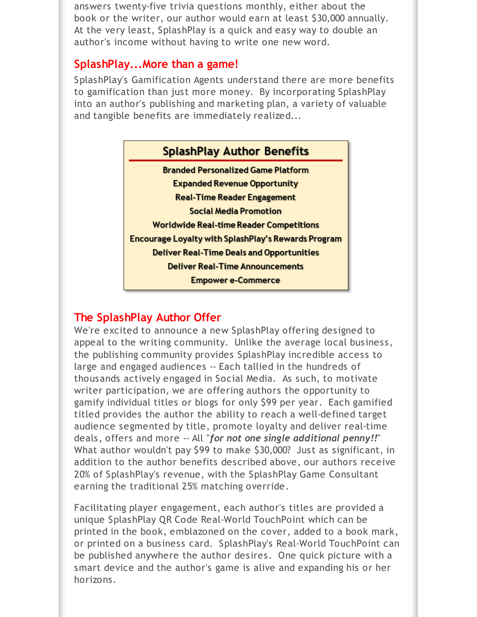answers twenty-five trivia questions monthly, either about the book or the writer, our author would earn at least \$30,000 annually. At the very least, SplashPlay is a quick and easy way to double an author's income without having to write one new word.

#### **SplashPlay...More than a game!**

SplashPlay's Gamification Agents understand there are more benefits to gamification than just more money. By incorporating SplashPlay into an author's publishing and marketing plan, a variety of valuable and tangible benefits are immediately realized...



#### **The SplashPlay Author Offer**

We're excited to announce a new SplashPlay offering designed to appeal to the writing community. Unlike the average local business, the publishing community provides SplashPlay incredible access to large and engaged audiences -- Each tallied in the hundreds of thousands actively engaged in Social Media. As such, to motivate writer participation, we are offering authors the opportunity to gamify individual titles or blogs for only \$99 per year. Each gamified titled provides the author the ability to reach a well-defined target audience segmented by title, promote loyalty and deliver real-time deals, offers and more -- All "*for not one single additional penny!!*" What author wouldn't pay \$99 to make \$30,000? Just as significant, in addition to the author benefits described above, our authors receive 20% of SplashPlay's revenue, with the SplashPlay Game Consultant earning the traditional 25% matching override.

Facilitating player engagement, each author's titles are provided a unique SplashPlay QR Code Real-World TouchPoint which can be printed in the book, emblazoned on the cover, added to a book mark, or printed on a business card. SplashPlay's Real-World TouchPoint can be published anywhere the author desires. One quick picture with a smart device and the author's game is alive and expanding his or her horizons.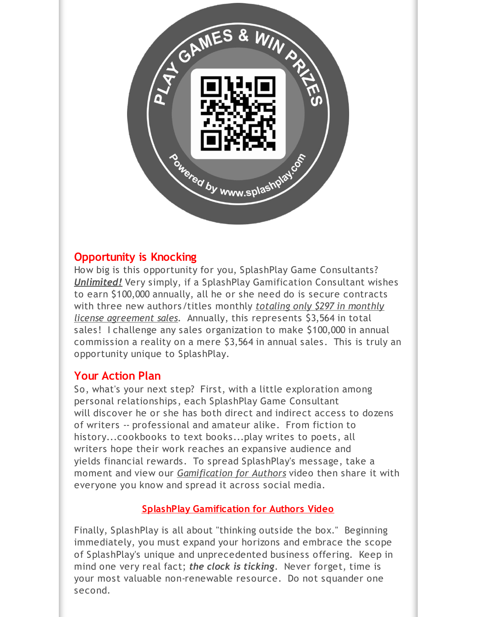

#### **Opportunity is Knocking**

How big is this opportunity for you, SplashPlay Game Consultants? *Unlimited!* Very simply, if a SplashPlay Gamification Consultant wishes to earn \$100,000 annually, all he or she need do is secure contracts with three new authors/titles monthly *totaling only \$297 in monthly license agreement sales*. Annually, this represents \$3,564 in total sales! I challenge any sales organization to make \$100,000 in annual commission a reality on a mere \$3,564 in annual sales. This is truly an opportunity unique to SplashPlay.

#### **Your Action Plan**

So, what's your next step? First, with a little exploration among personal relationships, each SplashPlay Game Consultant will discover he or she has both direct and indirect access to dozens of writers -- professional and amateur alike. From fiction to history...cookbooks to text books...play writes to poets, all writers hope their work reaches an expansive audience and yields financial rewards. To spread SplashPlay's message, take a moment and view our *Gamification for Authors* video then share it with everyone you know and spread it across social media.

#### **SplashPlay [Gamification](http://r20.rs6.net/tn.jsp?f=001PZqzLsOh4IgCkPpRIMd8cXpax6sJXYFgoaAa4-NCltaYMQ2nI2LX1CBBijHl6grbo2PWmIDWOlg5dgwxJzUr67tVko8gNBT2aw0VSF1Tu8qUlDahNpbui_QzBJFDH63-OhDj0F1kngOWL5VmVWjzwJi51kslDVmKjUvmGJnmJ2nLIFps7LjKww==&c=&ch=) for Authors Video**

Finally, SplashPlay is all about "thinking outside the box." Beginning immediately, you must expand your horizons and embrace the scope of SplashPlay's unique and unprecedented business offering. Keep in mind one very real fact; *the clock is ticking*. Never forget, time is your most valuable non-renewable resource. Do not squander one second.